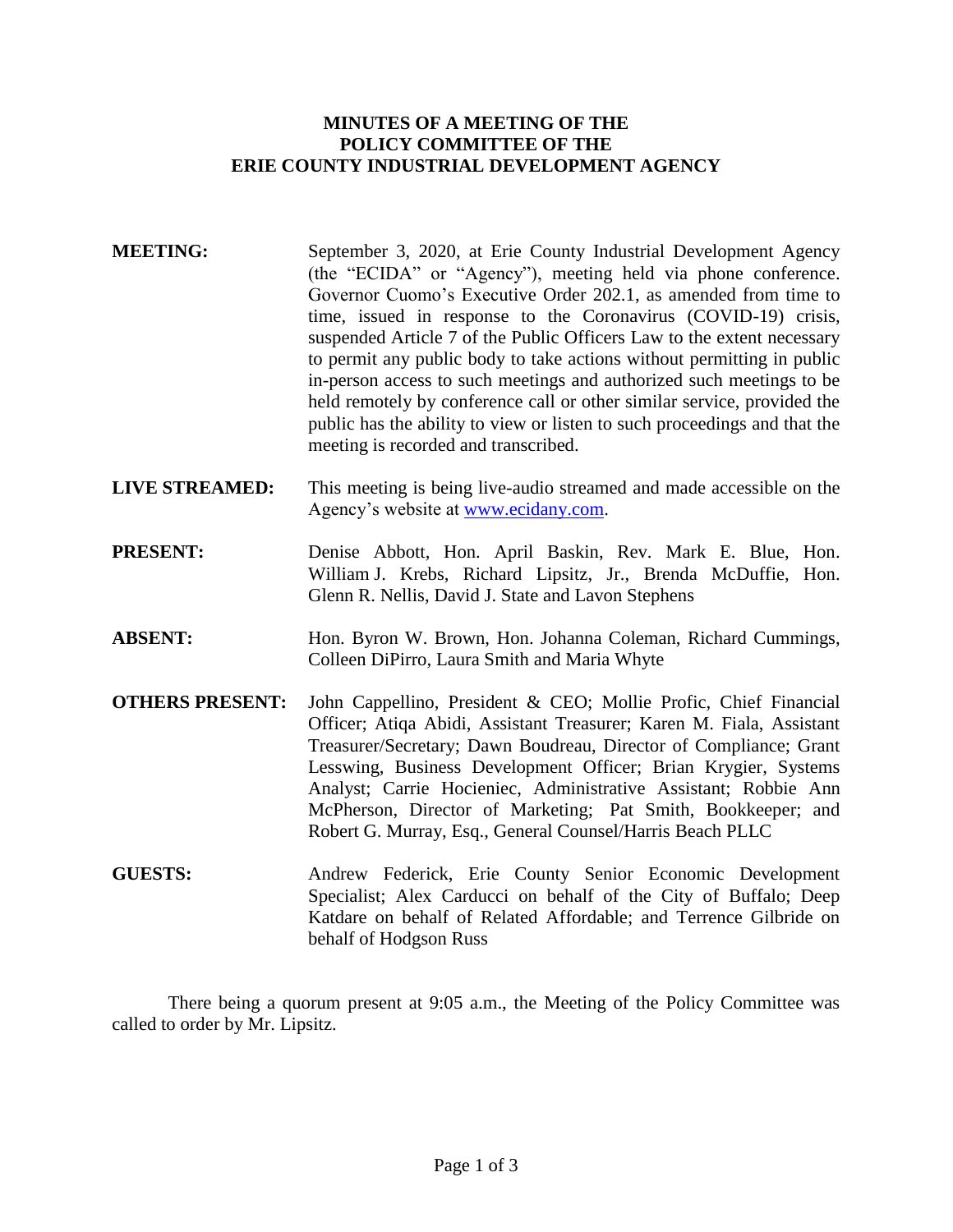# **MINUTES OF A MEETING OF THE POLICY COMMITTEE OF THE ERIE COUNTY INDUSTRIAL DEVELOPMENT AGENCY**

- **MEETING:** September 3, 2020, at Erie County Industrial Development Agency (the "ECIDA" or "Agency"), meeting held via phone conference. Governor Cuomo's Executive Order 202.1, as amended from time to time, issued in response to the Coronavirus (COVID-19) crisis, suspended Article 7 of the Public Officers Law to the extent necessary to permit any public body to take actions without permitting in public in-person access to such meetings and authorized such meetings to be held remotely by conference call or other similar service, provided the public has the ability to view or listen to such proceedings and that the meeting is recorded and transcribed.
- **LIVE STREAMED:** This meeting is being live-audio streamed and made accessible on the Agency's website at [www.ecidany.com.](http://www.ecidany.com/)
- **PRESENT:** Denise Abbott, Hon. April Baskin, Rev. Mark E. Blue, Hon. William J. Krebs, Richard Lipsitz, Jr., Brenda McDuffie, Hon. Glenn R. Nellis, David J. State and Lavon Stephens
- **ABSENT:** Hon. Byron W. Brown, Hon. Johanna Coleman, Richard Cummings, Colleen DiPirro, Laura Smith and Maria Whyte
- **OTHERS PRESENT:** John Cappellino, President & CEO; Mollie Profic, Chief Financial Officer; Atiqa Abidi, Assistant Treasurer; Karen M. Fiala, Assistant Treasurer/Secretary; Dawn Boudreau, Director of Compliance; Grant Lesswing, Business Development Officer; Brian Krygier, Systems Analyst; Carrie Hocieniec, Administrative Assistant; Robbie Ann McPherson, Director of Marketing; Pat Smith, Bookkeeper; and Robert G. Murray, Esq., General Counsel/Harris Beach PLLC
- **GUESTS:** Andrew Federick, Erie County Senior Economic Development Specialist; Alex Carducci on behalf of the City of Buffalo; Deep Katdare on behalf of Related Affordable; and Terrence Gilbride on behalf of Hodgson Russ

There being a quorum present at 9:05 a.m., the Meeting of the Policy Committee was called to order by Mr. Lipsitz.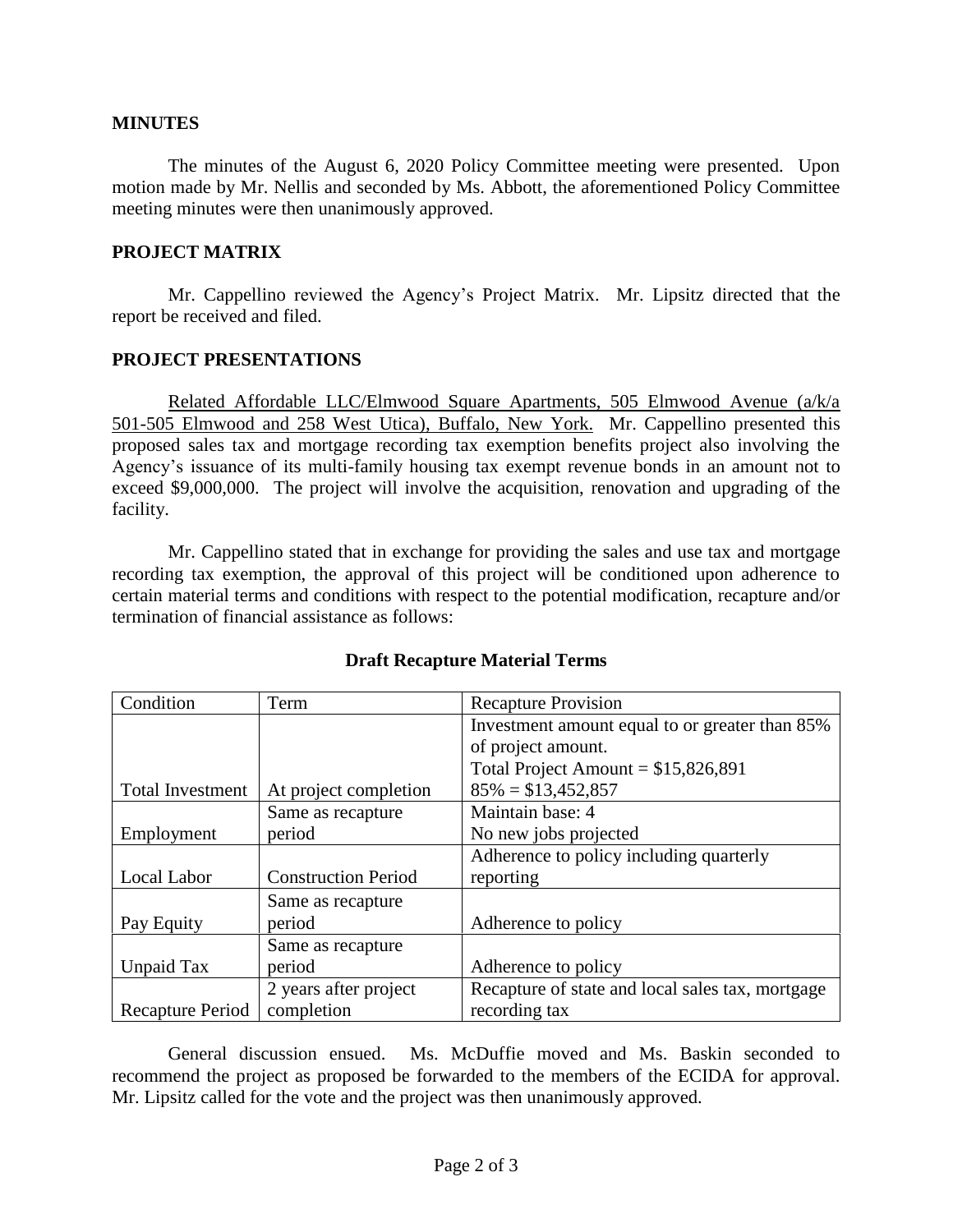## **MINUTES**

The minutes of the August 6, 2020 Policy Committee meeting were presented. Upon motion made by Mr. Nellis and seconded by Ms. Abbott, the aforementioned Policy Committee meeting minutes were then unanimously approved.

## **PROJECT MATRIX**

Mr. Cappellino reviewed the Agency's Project Matrix. Mr. Lipsitz directed that the report be received and filed.

#### **PROJECT PRESENTATIONS**

Related Affordable LLC/Elmwood Square Apartments, 505 Elmwood Avenue (a/k/a 501-505 Elmwood and 258 West Utica), Buffalo, New York. Mr. Cappellino presented this proposed sales tax and mortgage recording tax exemption benefits project also involving the Agency's issuance of its multi-family housing tax exempt revenue bonds in an amount not to exceed \$9,000,000. The project will involve the acquisition, renovation and upgrading of the facility.

Mr. Cappellino stated that in exchange for providing the sales and use tax and mortgage recording tax exemption, the approval of this project will be conditioned upon adherence to certain material terms and conditions with respect to the potential modification, recapture and/or termination of financial assistance as follows:

| Condition               | Term                       | <b>Recapture Provision</b>                       |
|-------------------------|----------------------------|--------------------------------------------------|
|                         |                            | Investment amount equal to or greater than 85%   |
|                         |                            | of project amount.                               |
|                         |                            | Total Project Amount = $$15,826,891$             |
| <b>Total Investment</b> | At project completion      | $85\% = $13,452,857$                             |
|                         | Same as recapture          | Maintain base: 4                                 |
| Employment              | period                     | No new jobs projected                            |
|                         |                            | Adherence to policy including quarterly          |
| Local Labor             | <b>Construction Period</b> | reporting                                        |
|                         | Same as recapture          |                                                  |
| Pay Equity              | period                     | Adherence to policy                              |
|                         | Same as recapture          |                                                  |
| Unpaid Tax              | period                     | Adherence to policy                              |
|                         | 2 years after project      | Recapture of state and local sales tax, mortgage |
| Recapture Period        | completion                 | recording tax                                    |

## **Draft Recapture Material Terms**

General discussion ensued. Ms. McDuffie moved and Ms. Baskin seconded to recommend the project as proposed be forwarded to the members of the ECIDA for approval. Mr. Lipsitz called for the vote and the project was then unanimously approved.